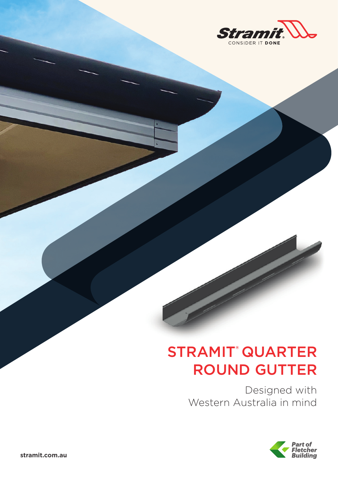

# STRAMIT® QUARTER ROUND GUTTER

Designed with Western Australia in mind